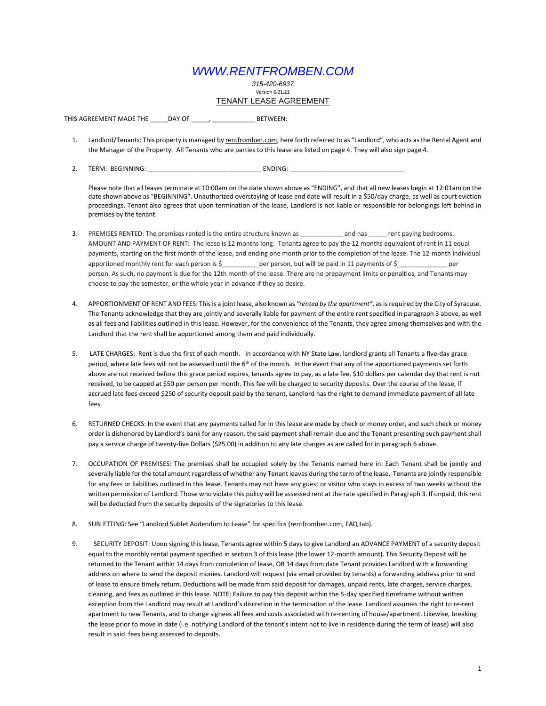## *WWW.RENTFROMBEN.COM*

*315-420-6937* Version 6.21.22 TENANT LEASE AGREEMENT

THIS AGREEMENT MADE THE \_\_\_\_\_DAY OF \_\_\_\_\_, \_\_\_\_\_\_\_\_\_\_\_\_\_\_\_\_ BETWEEN:

- 1. Landlord/Tenants: This property is managed by rentfromben.com, here forth referred to as "Landlord", who acts as the Rental Agent and the Manager of the Property. All Tenants who are parties to this lease are listed on page 4. They will also sign page 4.
- 2. TERM: BEGINNING: ENDING:

Please note that all leases terminate at 10:00am on the date shown above as "ENDING", and that all new leases begin at 12:01am on the date shown above as "BEGINNING". Unauthorized overstaying of lease end date will result in a \$50/day charge, as well as court eviction proceedings. Tenant also agrees that upon termination of the lease, Landlord is not liable or responsible for belongings left behind in premises by the tenant.

- 3. PREMISES RENTED: The premises rented is the entire structure known as \_\_\_\_\_\_\_\_\_\_\_\_ and has \_\_\_\_\_ rent paying bedrooms. AMOUNT AND PAYMENT OF RENT: The lease is 12 months long. Tenants agree to pay the 12 months equivalent of rent in 11 equal payments, starting on the first month of the lease, and ending one month prior to the completion of the lease. The 12-month individual apportioned monthly rent for each person is \$\_\_\_\_\_\_\_\_\_\_ per person, but will be paid in 11 payments of \$\_\_\_\_\_\_\_\_\_\_\_\_\_\_\_\_ per person. As such, no payment is due for the 12th month of the lease. There are no prepayment limits or penalties, and Tenants may choose to pay the semester, or the whole year in advance if they so desire.
- 4. APPORTIONMENT OF RENT AND FEES: This is a joint lease, also known as *"rented by the apartment"*, as is required by the City of Syracuse. The Tenants acknowledge that they are jointly and severally liable for payment of the entire rent specified in paragraph 3 above, as well as all fees and liabilities outlined in this lease. However, for the convenience of the Tenants, they agree among themselves and with the Landlord that the rent shall be apportioned among them and paid individually.
- 5. LATE CHARGES: Rent is due the first of each month. In accordance with NY State Law, landlord grants all Tenants a five-day grace period, where late fees will not be assessed until the 6<sup>th</sup> of the month. In the event that any of the apportioned payments set forth above are not received before this grace period expires, tenants agree to pay, as a late fee, \$10 dollars per calendar day that rent is not received, to be capped at \$50 per person per month. This fee will be charged to security deposits. Over the course of the lease, if accrued late fees exceed \$250 of security deposit paid by the tenant, Landlord has the right to demand immediate payment of all late fees.
- 6. RETURNED CHECKS: In the event that any payments called for in this lease are made by check or money order, and such check or money order is dishonored by Landlord's bank for any reason, the said payment shall remain due and the Tenant presenting such payment shall pay a service charge of twenty-five Dollars (\$25.00) in addition to any late charges as are called for in paragraph 6 above.
- 7. OCCUPATION OF PREMISES: The premises shall be occupied solely by the Tenants named here in. Each Tenant shall be jointly and severally liable for the total amount regardless of whether any Tenant leaves during the term of the lease. Tenants are jointly responsible for any fees or liabilities outlined in this lease. Tenants may not have any guest or visitor who stays in excess of two weeks without the written permission of Landlord. Those who violate this policy will be assessed rent at the rate specified in Paragraph 3. If unpaid, this rent will be deducted from the security deposits of the signatories to this lease.
- 8. SUBLETTING: See "Landlord Sublet Addendum to Lease" for specifics (rentfromben.com, FAQ tab).
- 9. SECURITY DEPOSIT: Upon signing this lease, Tenants agree within 5 days to give Landlord an ADVANCE PAYMENT of a security deposit equal to the monthly rental payment specified in section 3 of this lease (the lower 12-month amount). This Security Deposit will be returned to the Tenant within 14 days from completion of lease, OR 14 days from date Tenant provides Landlord with a forwarding address on where to send the deposit monies. Landlord will request (via email provided by tenants) a forwarding address prior to end of lease to ensure timely return. Deductions will be made from said deposit for damages, unpaid rents, late charges, service charges, cleaning, and fees as outlined in this lease. NOTE: Failure to pay this deposit within the 5-day specified timeframe without written exception from the Landlord may result at Landlord's discretion in the termination of the lease. Landlord assumes the right to re-rent apartment to new Tenants, and to charge signees all fees and costs associated with re-renting of house/apartment. Likewise, breaking the lease prior to move in date (i.e. notifying Landlord of the tenant's intent not to live in residence during the term of lease) will also result in said fees being assessed to deposits.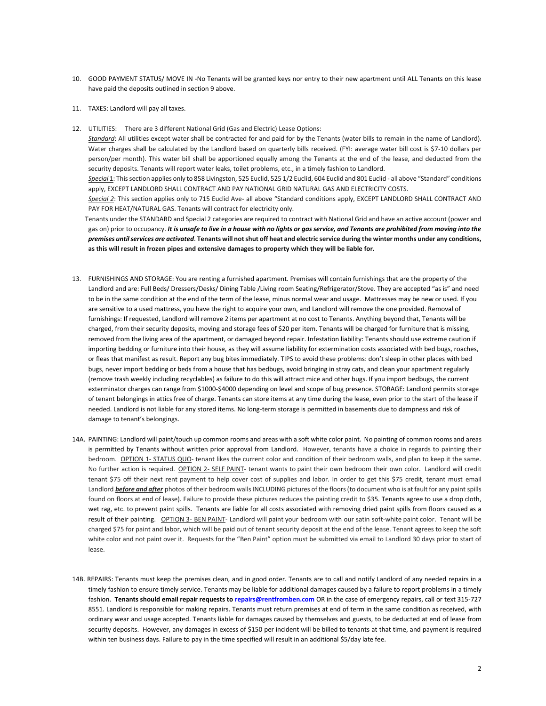- 10. GOOD PAYMENT STATUS/ MOVE IN -No Tenants will be granted keys nor entry to their new apartment until ALL Tenants on this lease have paid the deposits outlined in section 9 above.
- 11. TAXES: Landlord will pay all taxes.
- 12. UTILITIES: There are 3 different National Grid (Gas and Electric) Lease Options:

*Standard*: All utilities except water shall be contracted for and paid for by the Tenants (water bills to remain in the name of Landlord). Water charges shall be calculated by the Landlord based on quarterly bills received. (FYI: average water bill cost is \$7-10 dollars per person/per month). This water bill shall be apportioned equally among the Tenants at the end of the lease, and deducted from the security deposits. Tenants will report water leaks, toilet problems, etc., in a timely fashion to Landlord.

Special 1: This section applies only to 858 Livingston, 525 Euclid, 525 1/2 Euclid, 604 Euclid and 801 Euclid - all above "Standard" conditions apply, EXCEPT LANDLORD SHALL CONTRACT AND PAY NATIONAL GRID NATURAL GAS AND ELECTRICITY COSTS.

*Special 2*: This section applies only to 715 Euclid Ave- all above "Standard conditions apply, EXCEPT LANDLORD SHALL CONTRACT AND PAY FOR HEAT/NATURAL GAS. Tenants will contract for electricity only.

 Tenants under the STANDARD and Special 2 categories are required to contract with National Grid and have an active account (power and gas on) prior to occupancy. It is unsafe to live in a house with no lights or gas service, and Tenants are prohibited from moving into the *premises until services are activated*. **Tenants will not shut off heat and electric service during the winter months under any conditions, as this will result in frozen pipes and extensive damages to property which they will be liable for.** 

- 13. FURNISHINGS AND STORAGE: You are renting a furnished apartment. Premises will contain furnishings that are the property of the Landlord and are: Full Beds/ Dressers/Desks/ Dining Table /Living room Seating/Refrigerator/Stove. They are accepted "as is" and need to be in the same condition at the end of the term of the lease, minus normal wear and usage. Mattresses may be new or used. If you are sensitive to a used mattress, you have the right to acquire your own, and Landlord will remove the one provided. Removal of furnishings: If requested, Landlord will remove 2 items per apartment at no cost to Tenants. Anything beyond that, Tenants will be charged, from their security deposits, moving and storage fees of \$20 per item. Tenants will be charged for furniture that is missing, removed from the living area of the apartment, or damaged beyond repair. Infestation liability: Tenants should use extreme caution if importing bedding or furniture into their house, as they will assume liability for extermination costs associated with bed bugs, roaches, or fleas that manifest as result. Report any bug bites immediately. TIPS to avoid these problems: don't sleep in other places with bed bugs, never import bedding or beds from a house that has bedbugs, avoid bringing in stray cats, and clean your apartment regularly (remove trash weekly including recyclables) as failure to do this will attract mice and other bugs. If you import bedbugs, the current exterminator charges can range from \$1000-\$4000 depending on level and scope of bug presence. STORAGE: Landlord permits storage of tenant belongings in attics free of charge. Tenants can store items at any time during the lease, even prior to the start of the lease if needed. Landlord is not liable for any stored items. No long-term storage is permitted in basements due to dampness and risk of damage to tenant's belongings.
- 14A. PAINTING: Landlord will paint/touch up common rooms and areas with a soft white color paint. No painting of common rooms and areas is permitted by Tenants without written prior approval from Landlord. However, tenants have a choice in regards to painting their bedroom. OPTION 1- STATUS QUO- tenant likes the current color and condition of their bedroom walls, and plan to keep it the same. No further action is required. OPTION 2- SELF PAINT- tenant wants to paint their own bedroom their own color. Landlord will credit tenant \$75 off their next rent payment to help cover cost of supplies and labor. In order to get this \$75 credit, tenant must email Landlord *before and after* photos of their bedroom walls INCLUDING pictures of the floors (to document who is at fault for any paint spills found on floors at end of lease). Failure to provide these pictures reduces the painting credit to \$35. Tenants agree to use a drop cloth, wet rag, etc. to prevent paint spills. Tenants are liable for all costs associated with removing dried paint spills from floors caused as a result of their painting. OPTION 3- BEN PAINT- Landlord will paint your bedroom with our satin soft-white paint color. Tenant will be charged \$75 for paint and labor, which will be paid out of tenant security deposit at the end of the lease. Tenant agrees to keep the soft white color and not paint over it. Requests for the "Ben Paint" option must be submitted via email to Landlord 30 days prior to start of lease.
- 14B. REPAIRS: Tenants must keep the premises clean, and in good order. Tenants are to call and notify Landlord of any needed repairs in a timely fashion to ensure timely service. Tenants may be liable for additional damages caused by a failure to report problems in a timely fashion. **Tenants should email repair requests to repairs@rentfromben.com** OR in the case of emergency repairs, call or text 315-727 8551. Landlord is responsible for making repairs. Tenants must return premises at end of term in the same condition as received, with ordinary wear and usage accepted. Tenants liable for damages caused by themselves and guests, to be deducted at end of lease from security deposits. However, any damages in excess of \$150 per incident will be billed to tenants at that time, and payment is required within ten business days. Failure to pay in the time specified will result in an additional \$5/day late fee.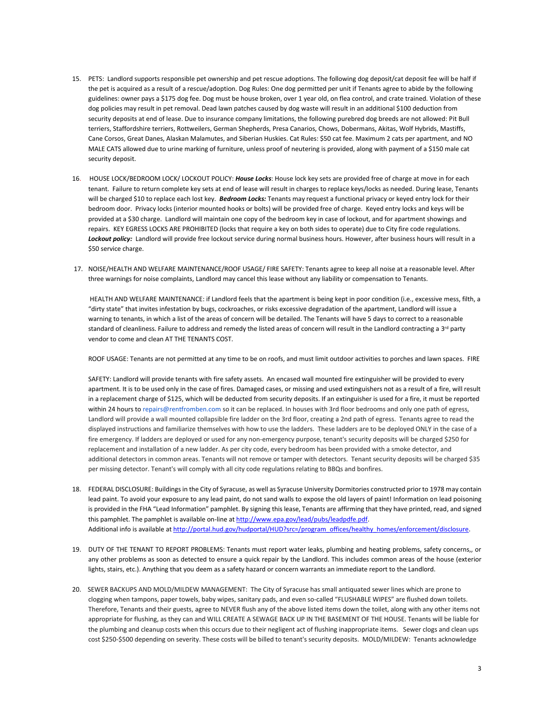- 15. PETS: Landlord supports responsible pet ownership and pet rescue adoptions. The following dog deposit/cat deposit fee will be half if the pet is acquired as a result of a rescue/adoption. Dog Rules: One dog permitted per unit if Tenants agree to abide by the following guidelines: owner pays a \$175 dog fee. Dog must be house broken, over 1 year old, on flea control, and crate trained. Violation of these dog policies may result in pet removal. Dead lawn patches caused by dog waste will result in an additional \$100 deduction from security deposits at end of lease. Due to insurance company limitations, the following purebred dog breeds are not allowed: Pit Bull terriers, Staffordshire terriers, Rottweilers, German Shepherds, Presa Canarios, Chows, Dobermans, Akitas, Wolf Hybrids, Mastiffs, Cane Corsos, Great Danes, Alaskan Malamutes, and Siberian Huskies. Cat Rules: \$50 cat fee. Maximum 2 cats per apartment, and NO MALE CATS allowed due to urine marking of furniture, unless proof of neutering is provided, along with payment of a \$150 male cat security deposit.
- 16. HOUSE LOCK/BEDROOM LOCK/ LOCKOUT POLICY: *House Locks*: House lock key sets are provided free of charge at move in for each tenant. Failure to return complete key sets at end of lease will result in charges to replace keys/locks as needed. During lease, Tenants will be charged \$10 to replace each lost key. *Bedroom Locks:* Tenants may request a functional privacy or keyed entry lock for their bedroom door. Privacy locks (interior mounted hooks or bolts) will be provided free of charge. Keyed entry locks and keys will be provided at a \$30 charge. Landlord will maintain one copy of the bedroom key in case of lockout, and for apartment showings and repairs. KEY EGRESS LOCKS ARE PROHIBITED (locks that require a key on both sides to operate) due to City fire code regulations. *Lockout policy:* Landlord will provide free lockout service during normal business hours. However, after business hours will result in a \$50 service charge.
- 17. NOISE/HEALTH AND WELFARE MAINTENANCE/ROOF USAGE/ FIRE SAFETY: Tenants agree to keep all noise at a reasonable level. After three warnings for noise complaints, Landlord may cancel this lease without any liability or compensation to Tenants.

 HEALTH AND WELFARE MAINTENANCE: if Landlord feels that the apartment is being kept in poor condition (i.e., excessive mess, filth, a "dirty state" that invites infestation by bugs, cockroaches, or risks excessive degradation of the apartment, Landlord will issue a warning to tenants, in which a list of the areas of concern will be detailed. The Tenants will have 5 days to correct to a reasonable standard of cleanliness. Failure to address and remedy the listed areas of concern will result in the Landlord contracting a 3<sup>rd</sup> party vendor to come and clean AT THE TENANTS COST.

ROOF USAGE: Tenants are not permitted at any time to be on roofs, and must limit outdoor activities to porches and lawn spaces. FIRE

 SAFETY: Landlord will provide tenants with fire safety assets. An encased wall mounted fire extinguisher will be provided to every apartment. It is to be used only in the case of fires. Damaged cases, or missing and used extinguishers not as a result of a fire, will result in a replacement charge of \$125, which will be deducted from security deposits. If an extinguisher is used for a fire, it must be reported within 24 hours to repairs@rentfromben.com so it can be replaced. In houses with 3rd floor bedrooms and only one path of egress, Landlord will provide a wall mounted collapsible fire ladder on the 3rd floor, creating a 2nd path of egress. Tenants agree to read the displayed instructions and familiarize themselves with how to use the ladders. These ladders are to be deployed ONLY in the case of a fire emergency. If ladders are deployed or used for any non-emergency purpose, tenant's security deposits will be charged \$250 for replacement and installation of a new ladder. As per city code, every bedroom has been provided with a smoke detector, and additional detectors in common areas. Tenants will not remove or tamper with detectors. Tenant security deposits will be charged \$35 per missing detector. Tenant's will comply with all city code regulations relating to BBQs and bonfires.

- 18. FEDERAL DISCLOSURE: Buildings in the City of Syracuse, as well as Syracuse University Dormitories constructed prior to 1978 may contain lead paint. To avoid your exposure to any lead paint, do not sand walls to expose the old layers of paint! Information on lead poisoning is provided in the FHA "Lead Information" pamphlet. By signing this lease, Tenants are affirming that they have printed, read, and signed [t](http://www.epa.gov/lead/pubs/leadpdfe.pdf)his pamphlet. The pamphlet is available on-line at http://www.epa.gov/lead/pubs/leadpdfe.pdf. Addi[t](http://portal.hud.gov/hudportal/HUD?src=/program_offices/healthy_homes/enforcement/disclosure)ional info is available at [http://portal.hud.gov/hudportal/HUD?src=/program\\_offices/healthy\\_homes/enforcement/disclosure.](http://portal.hud.gov/hudportal/HUD?src=/program_offices/healthy_homes/enforcement/disclosure)
- 19. DUTY OF THE TENANT TO REPORT PROBLEMS: Tenants must report water leaks, plumbing and heating problems, safety concerns,, or any other problems as soon as detected to ensure a quick repair by the Landlord. This includes common areas of the house (exterior lights, stairs, etc.). Anything that you deem as a safety hazard or concern warrants an immediate report to the Landlord.
- 20. SEWER BACKUPS AND MOLD/MILDEW MANAGEMENT: The City of Syracuse has small antiquated sewer lines which are prone to clogging when tampons, paper towels, baby wipes, sanitary pads, and even so-called "FLUSHABLE WIPES" are flushed down toilets. Therefore, Tenants and their guests, agree to NEVER flush any of the above listed items down the toilet, along with any other items not appropriate for flushing, as they can and WILL CREATE A SEWAGE BACK UP IN THE BASEMENT OF THE HOUSE. Tenants will be liable for the plumbing and cleanup costs when this occurs due to their negligent act of flushing inappropriate items. Sewer clogs and clean ups cost \$250-\$500 depending on severity. These costs will be billed to tenant's security deposits. MOLD/MILDEW: Tenants acknowledge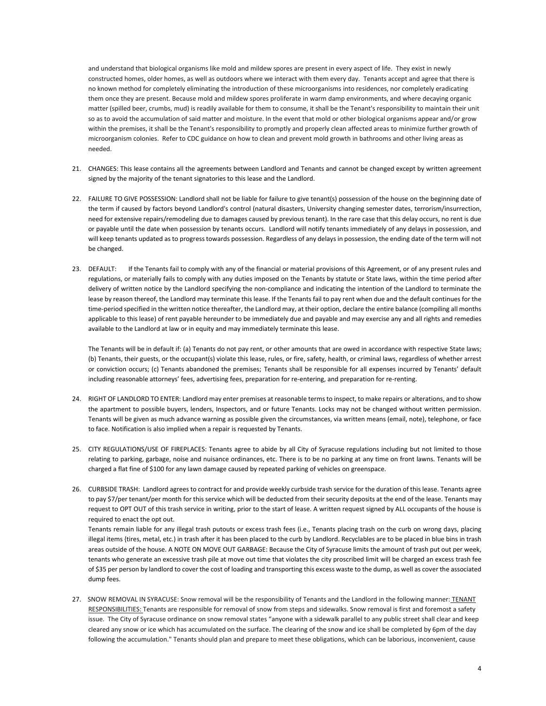and understand that biological organisms like mold and mildew spores are present in every aspect of life. They exist in newly constructed homes, older homes, as well as outdoors where we interact with them every day. Tenants accept and agree that there is no known method for completely eliminating the introduction of these microorganisms into residences, nor completely eradicating them once they are present. Because mold and mildew spores proliferate in warm damp environments, and where decaying organic matter (spilled beer, crumbs, mud) is readily available for them to consume, it shall be the Tenant's responsibility to maintain their unit so as to avoid the accumulation of said matter and moisture. In the event that mold or other biological organisms appear and/or grow within the premises, it shall be the Tenant's responsibility to promptly and properly clean affected areas to minimize further growth of microorganism colonies. Refer to CDC guidance on how to clean and prevent mold growth in bathrooms and other living areas as needed.

- 21. CHANGES: This lease contains all the agreements between Landlord and Tenants and cannot be changed except by written agreement signed by the majority of the tenant signatories to this lease and the Landlord.
- 22. FAILURE TO GIVE POSSESSION: Landlord shall not be liable for failure to give tenant(s) possession of the house on the beginning date of the term if caused by factors beyond Landlord's control (natural disasters, University changing semester dates, terrorism/insurrection, need for extensive repairs/remodeling due to damages caused by previous tenant). In the rare case that this delay occurs, no rent is due or payable until the date when possession by tenants occurs. Landlord will notify tenants immediately of any delays in possession, and will keep tenants updated as to progress towards possession. Regardless of any delays in possession, the ending date of the term will not be changed.
- 23. DEFAULT: If the Tenants fail to comply with any of the financial or material provisions of this Agreement, or of any present rules and regulations, or materially fails to comply with any duties imposed on the Tenants by statute or State laws, within the time period after delivery of written notice by the Landlord specifying the non-compliance and indicating the intention of the Landlord to terminate the lease by reason thereof, the Landlord may terminate this lease. If the Tenants fail to pay rent when due and the default continues for the time-period specified in the written notice thereafter, the Landlord may, at their option, declare the entire balance (compiling all months applicable to this lease) of rent payable hereunder to be immediately due and payable and may exercise any and all rights and remedies available to the Landlord at law or in equity and may immediately terminate this lease.

The Tenants will be in default if: (a) Tenants do not pay rent, or other amounts that are owed in accordance with respective State laws; (b) Tenants, their guests, or the occupant(s) violate this lease, rules, or fire, safety, health, or criminal laws, regardless of whether arrest or conviction occurs; (c) Tenants abandoned the premises; Tenants shall be responsible for all expenses incurred by Tenants' default including reasonable attorneys' fees, advertising fees, preparation for re-entering, and preparation for re-renting.

- 24. RIGHT OF LANDLORD TO ENTER: Landlord may enter premises at reasonable terms to inspect, to make repairs or alterations, and to show the apartment to possible buyers, lenders, Inspectors, and or future Tenants. Locks may not be changed without written permission. Tenants will be given as much advance warning as possible given the circumstances, via written means (email, note), telephone, or face to face. Notification is also implied when a repair is requested by Tenants.
- 25. CITY REGULATIONS/USE OF FIREPLACES: Tenants agree to abide by all City of Syracuse regulations including but not limited to those relating to parking, garbage, noise and nuisance ordinances, etc. There is to be no parking at any time on front lawns. Tenants will be charged a flat fine of \$100 for any lawn damage caused by repeated parking of vehicles on greenspace.
- 26. CURBSIDE TRASH: Landlord agrees to contract for and provide weekly curbside trash service for the duration of this lease. Tenants agree to pay \$7/per tenant/per month for this service which will be deducted from their security deposits at the end of the lease. Tenants may request to OPT OUT of this trash service in writing, prior to the start of lease. A written request signed by ALL occupants of the house is required to enact the opt out.

 Tenants remain liable for any illegal trash putouts or excess trash fees (i.e., Tenants placing trash on the curb on wrong days, placing illegal items {tires, metal, etc.) in trash after it has been placed to the curb by Landlord. Recyclables are to be placed in blue bins in trash areas outside of the house. A NOTE ON MOVE OUT GARBAGE: Because the City of Syracuse limits the amount of trash put out per week, tenants who generate an excessive trash pile at move out time that violates the city proscribed limit will be charged an excess trash fee of \$35 per person by landlord to cover the cost of loading and transporting this excess waste to the dump, as well as cover the associated dump fees.

27. SNOW REMOVAL IN SYRACUSE: Snow removal will be the responsibility of Tenants and the Landlord in the following manner: TENANT RESPONSIBILITIES: Tenants are responsible for removal of snow from steps and sidewalks. Snow removal is first and foremost a safety issue. The City of Syracuse ordinance on snow removal states "anyone with a sidewalk parallel to any public street shall clear and keep cleared any snow or ice which has accumulated on the surface. The clearing of the snow and ice shall be completed by 6pm of the day following the accumulation." Tenants should plan and prepare to meet these obligations, which can be laborious, inconvenient, cause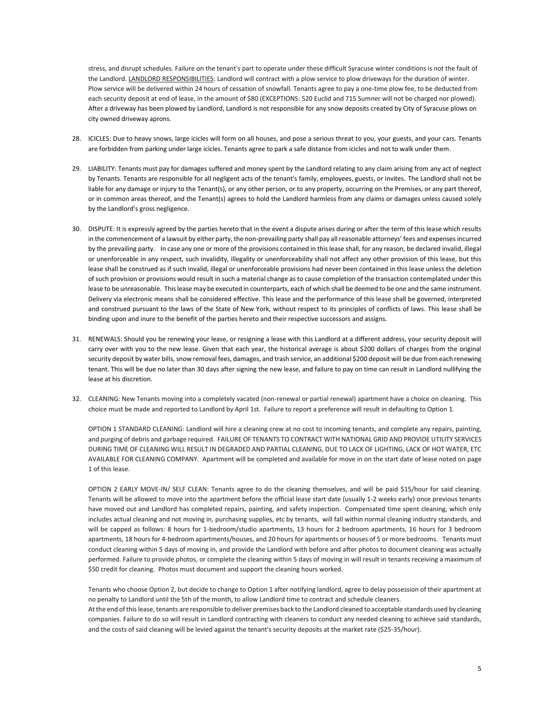stress, and disrupt schedules. Failure on the tenant's part to operate under these difficult Syracuse winter conditions is not the fault of the Landlord. LANDLORD RESPONSIBILITIES: Landlord will contract with a plow service to plow driveways for the duration of winter. Plow service will be delivered within 24 hours of cessation of snowfall. Tenants agree to pay a one-time plow fee, to be deducted from each security deposit at end of lease, in the amount of \$80 (EXCEPTIONS: 520 Euclid and 715 Sumner will not be charged nor plowed). After a driveway has been plowed by Landlord, Landlord is not responsible for any snow deposits created by City of Syracuse plows on city owned driveway aprons.

- 28. ICICLES: Due to heavy snows, large icicles will form on all houses, and pose a serious threat to you, your guests, and your cars. Tenants are forbidden from parking under large icicles. Tenants agree to park a safe distance from icicles and not to walk under them.
- 29. LIABILITY: Tenants must pay for damages suffered and money spent by the Landlord relating to any claim arising from any act of neglect by Tenants. Tenants are responsible for all negligent acts of the tenant's family, employees, guests, or invites. The Landlord shall not be liable for any damage or injury to the Tenant(s), or any other person, or to any property, occurring on the Premises, or any part thereof, or in common areas thereof, and the Tenant(s) agrees to hold the Landlord harmless from any claims or damages unless caused solely by the Landlord's gross negligence.
- 30. DISPUTE: It is expressly agreed by the parties hereto that in the event a dispute arises during or after the term of this lease which results in the commencement of a lawsuit by either party, the non-prevailing party shall pay all reasonable attorneys' fees and expenses incurred by the prevailing party. In case any one or more of the provisions contained in this lease shall, for any reason, be declared invalid, illegal or unenforceable in any respect, such invalidity, illegality or unenforceability shall not affect any other provision of this lease, but this lease shall be construed as if such invalid, illegal or unenforceable provisions had never been contained in this lease unless the deletion of such provision or provisions would result in such a material change as to cause completion of the transaction contemplated under this lease to be unreasonable. This lease may be executed in counterparts, each of which shall be deemed to be one and the same instrument. Delivery via electronic means shall be considered effective. This lease and the performance of this lease shall be governed, interpreted and construed pursuant to the laws of the State of New York, without respect to its principles of conflicts of laws. This lease shall be binding upon and inure to the benefit of the parties hereto and their respective successors and assigns.
- 31. RENEWALS: Should you be renewing your lease, or resigning a lease with this Landlord at a different address, your security deposit will carry over with you to the new lease. Given that each year, the historical average is about \$200 dollars of charges from the original security deposit by water bills, snow removal fees, damages, and trash service, an additional \$200 deposit will be due from each renewing tenant. This will be due no later than 30 days after signing the new lease, and failure to pay on time can result in Landlord nullifying the lease at his discretion.
- 32. CLEANING: New Tenants moving into a completely vacated (non-renewal or partial renewal) apartment have a choice on cleaning. This choice must be made and reported to Landlord by April 1st. Failure to report a preference will result in defaulting to Option 1.

 OPTION 1 STANDARD CLEANING: Landlord will hire a cleaning crew at no cost to incoming tenants, and complete any repairs, painting, and purging of debris and garbage required. FAILURE OF TENANTS TO CONTRACT WITH NATIONAL GRID AND PROVIDE UTILITY SERVICES DURING TIME OF CLEANING WILL RESULT IN DEGRADED AND PARTIAL CLEANING, DUE TO LACK OF LIGHTING, LACK OF HOT WATER, ETC AVAILABLE FOR CLEANING COMPANY. Apartment will be completed and available for move in on the start date of lease noted on page 1 of this lease.

 OPTION 2 EARLY MOVE-IN/ SELF CLEAN: Tenants agree to do the cleaning themselves, and will be paid \$15/hour for said cleaning. Tenants will be allowed to move into the apartment before the official lease start date (usually 1-2 weeks early) once previous tenants have moved out and Landlord has completed repairs, painting, and safety inspection. Compensated time spent cleaning, which only includes actual cleaning and not moving in, purchasing supplies, etc by tenants, will fall within normal cleaning industry standards, and will be capped as follows: 8 hours for 1-bedroom/studio apartments, 13 hours for 2 bedroom apartments, 16 hours for 3 bedroom apartments, 18 hours for 4-bedroom apartments/houses, and 20 hours for apartments or houses of 5 or more bedrooms. Tenants must conduct cleaning within 5 days of moving in, and provide the Landlord with before and after photos to document cleaning was actually performed. Failure to provide photos, or complete the cleaning within 5 days of moving in will result in tenants receiving a maximum of \$50 credit for cleaning. Photos must document and support the cleaning hours worked.

 Tenants who choose Option 2, but decide to change to Option 1 after notifying landlord, agree to delay possession of their apartment at no penalty to Landlord until the 5th of the month, to allow Landlord time to contract and schedule cleaners.

 At the end of this lease, tenants are responsible to deliver premises back to the Landlord cleaned to acceptable standards used by cleaning companies. Failure to do so will result in Landlord contracting with cleaners to conduct any needed cleaning to achieve said standards, and the costs of said cleaning will be levied against the tenant's security deposits at the market rate (\$25-35/hour).